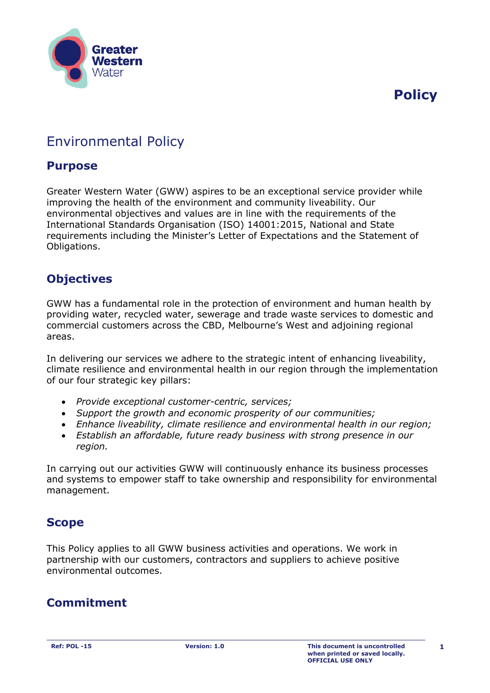

**Policy** 

# Environmental Policy

### **Purpose**

Greater Western Water (GWW) aspires to be an exceptional service provider while improving the health of the environment and community liveability. Our environmental objectives and values are in line with the requirements of the International Standards Organisation (ISO) 14001:2015, National and State requirements including the Minister's Letter of Expectations and the Statement of Obligations.

### **Objectives**

GWW has a fundamental role in the protection of environment and human health by providing water, recycled water, sewerage and trade waste services to domestic and commercial customers across the CBD, Melbourne's West and adjoining regional areas.

In delivering our services we adhere to the strategic intent of enhancing liveability, climate resilience and environmental health in our region through the implementation of our four strategic key pillars:

- *Provide exceptional customer-centric, services;*
- *Support the growth and economic prosperity of our communities;*
- *Enhance liveability, climate resilience and environmental health in our region;*
- *Establish an affordable, future ready business with strong presence in our region.*

In carrying out our activities GWW will continuously enhance its business processes and systems to empower staff to take ownership and responsibility for environmental management.

### **Scope**

This Policy applies to all GWW business activities and operations. We work in partnership with our customers, contractors and suppliers to achieve positive environmental outcomes.

## **Commitment**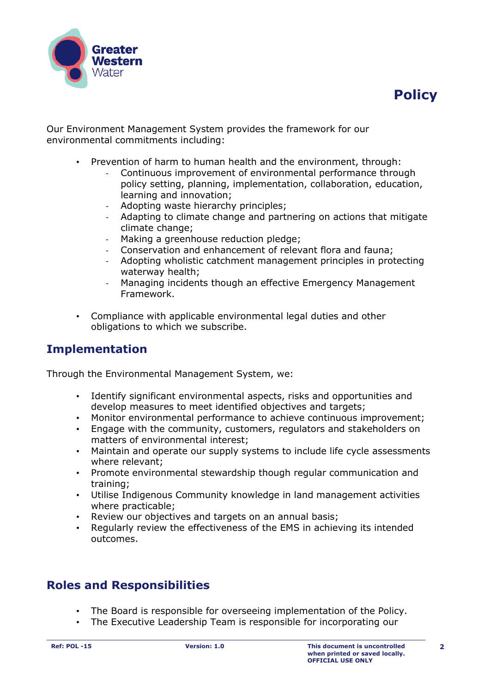



Our Environment Management System provides the framework for our environmental commitments including:

- Prevention of harm to human health and the environment, through:
	- Continuous improvement of environmental performance through policy setting, planning, implementation, collaboration, education, learning and innovation;
	- Adopting waste hierarchy principles;
	- Adapting to climate change and partnering on actions that mitigate climate change;
	- Making a greenhouse reduction pledge;
	- Conservation and enhancement of relevant flora and fauna;
	- Adopting wholistic catchment management principles in protecting waterway health;
	- Managing incidents though an effective Emergency Management Framework.
- Compliance with applicable environmental legal duties and other obligations to which we subscribe.

### **Implementation**

Through the Environmental Management System, we:

- Identify significant environmental aspects, risks and opportunities and develop measures to meet identified objectives and targets;
- Monitor environmental performance to achieve continuous improvement;
- Engage with the community, customers, regulators and stakeholders on matters of environmental interest;
- Maintain and operate our supply systems to include life cycle assessments where relevant;
- Promote environmental stewardship though regular communication and training;
- Utilise Indigenous Community knowledge in land management activities where practicable;
- Review our objectives and targets on an annual basis;
- Regularly review the effectiveness of the EMS in achieving its intended outcomes.

### **Roles and Responsibilities**

- The Board is responsible for overseeing implementation of the Policy.
- The Executive Leadership Team is responsible for incorporating our